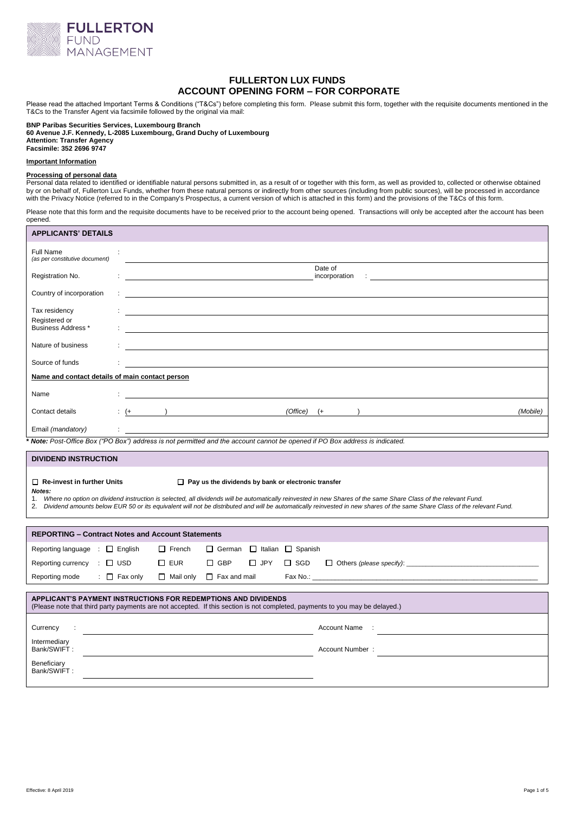

# **FULLERTON LUX FUNDS ACCOUNT OPENING FORM – FOR CORPORATE**

Please read the attached Important Terms & Conditions ("T&Cs") before completing this form. Please submit this form, together with the requisite documents mentioned in the T&Cs to the Transfer Agent via facsimile followed by the original via mail:

#### **BNP Paribas Securities Services, Luxembourg Branch 60 Avenue J.F. Kennedy, L-2085 Luxembourg, Grand Duchy of Luxembourg Attention: Transfer Agency Facsimile: 352 2696 9747**

## **Important Information**

# **Processing of personal data**

Personal data related to identified or identifiable natural persons submitted in, as a result of or together with this form, as well as provided to, collected or otherwise obtained by or on behalf of, Fullerton Lux Funds, whether from these natural persons or indirectly from other sources (including from public sources), will be processed in accordance with the Privacy Notice (referred to in the Company's Prospectus, a current version of which is attached in this form) and the provisions of the T&Cs of this form.

Please note that this form and the requisite documents have to be received prior to the account being opened. Transactions will only be accepted after the account has been opened.

| <b>APPLICANTS' DETAILS</b>                                                                                                                                                                                                                                                                                                                                                                                                                                        |                                                                                                                                                 |
|-------------------------------------------------------------------------------------------------------------------------------------------------------------------------------------------------------------------------------------------------------------------------------------------------------------------------------------------------------------------------------------------------------------------------------------------------------------------|-------------------------------------------------------------------------------------------------------------------------------------------------|
| Full Name<br>÷<br>(as per constitutive document)                                                                                                                                                                                                                                                                                                                                                                                                                  |                                                                                                                                                 |
| Registration No.                                                                                                                                                                                                                                                                                                                                                                                                                                                  | Date of<br>incorporation :                                                                                                                      |
| Country of incorporation                                                                                                                                                                                                                                                                                                                                                                                                                                          |                                                                                                                                                 |
| Tax residency<br>Registered or                                                                                                                                                                                                                                                                                                                                                                                                                                    |                                                                                                                                                 |
| <b>Business Address *</b>                                                                                                                                                                                                                                                                                                                                                                                                                                         |                                                                                                                                                 |
| Nature of business                                                                                                                                                                                                                                                                                                                                                                                                                                                |                                                                                                                                                 |
| Source of funds                                                                                                                                                                                                                                                                                                                                                                                                                                                   |                                                                                                                                                 |
| Name and contact details of main contact person                                                                                                                                                                                                                                                                                                                                                                                                                   |                                                                                                                                                 |
| Name                                                                                                                                                                                                                                                                                                                                                                                                                                                              |                                                                                                                                                 |
| $\left( + \right)$<br>Contact details                                                                                                                                                                                                                                                                                                                                                                                                                             | $(Office)$ $(+)$<br>(Mobile)<br>the contract of the contract of the contract of the contract of the contract of the contract of the contract of |
| Email (mandatory)<br>$\mathcal{I}^{\mathcal{I}}$ .                                                                                                                                                                                                                                                                                                                                                                                                                |                                                                                                                                                 |
| Note: Post-Office Box ("PO Box") address is not permitted and the account cannot be opened if PO Box address is indicated.                                                                                                                                                                                                                                                                                                                                        |                                                                                                                                                 |
| <b>DIVIDEND INSTRUCTION</b>                                                                                                                                                                                                                                                                                                                                                                                                                                       |                                                                                                                                                 |
| $\Box$ Re-invest in further Units<br>$\Box$ Pay us the dividends by bank or electronic transfer<br>Notes:<br>Where no option on dividend instruction is selected, all dividends will be automatically reinvested in new Shares of the same Share Class of the relevant Fund.<br>1.<br>2. Dividend amounts below EUR 50 or its equivalent will not be distributed and will be automatically reinvested in new shares of the same Share Class of the relevant Fund. |                                                                                                                                                 |
| <b>REPORTING - Contract Notes and Account Statements</b>                                                                                                                                                                                                                                                                                                                                                                                                          |                                                                                                                                                 |
| Reporting language $\Box$ English<br>$\Box$ French<br>$\Box$ German<br>□ Italian □ Spanish                                                                                                                                                                                                                                                                                                                                                                        |                                                                                                                                                 |
| Reporting currency : □ USD<br>$\square$ EUR<br>$\Box$ GBP<br>$\Box$ JPY<br>$\Box$ SGD                                                                                                                                                                                                                                                                                                                                                                             |                                                                                                                                                 |
| $\therefore$ $\Box$ Fax only<br>Reporting mode<br>$\Box$ Mail only<br>$\Box$ Fax and mail                                                                                                                                                                                                                                                                                                                                                                         |                                                                                                                                                 |
| APPLICANT'S PAYMENT INSTRUCTIONS FOR REDEMPTIONS AND DIVIDENDS<br>(Please note that third party payments are not accepted. If this section is not completed, payments to you may be delayed.)                                                                                                                                                                                                                                                                     |                                                                                                                                                 |
| Currency<br>$\ddot{\phantom{a}}$                                                                                                                                                                                                                                                                                                                                                                                                                                  | <b>Account Name</b><br>$\sim$ 1                                                                                                                 |
| Intermediary<br>Bank/SWIFT:                                                                                                                                                                                                                                                                                                                                                                                                                                       | Account Number:                                                                                                                                 |
| Beneficiary<br>Bank/SWIFT:                                                                                                                                                                                                                                                                                                                                                                                                                                        |                                                                                                                                                 |
|                                                                                                                                                                                                                                                                                                                                                                                                                                                                   |                                                                                                                                                 |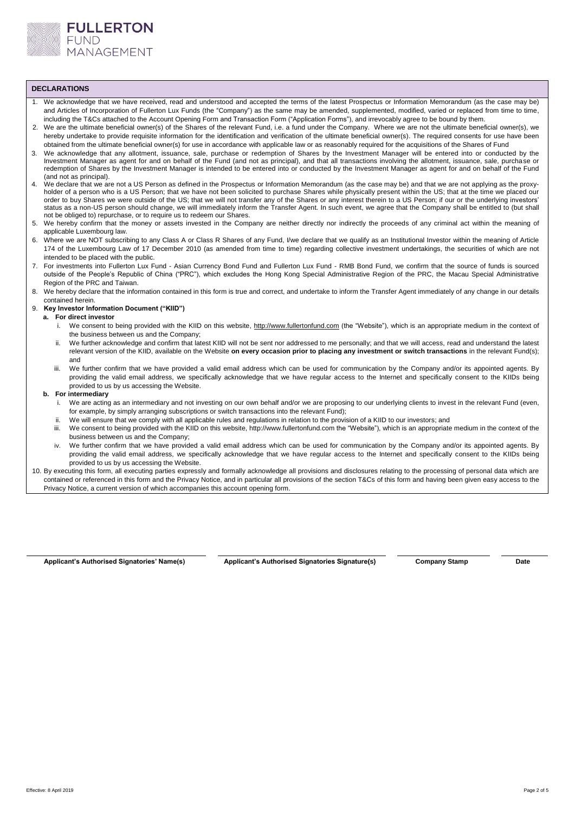

# **DECLARATIONS**

- 1. We acknowledge that we have received, read and understood and accepted the terms of the latest Prospectus or Information Memorandum (as the case may be) and Articles of Incorporation of Fullerton Lux Funds (the "Company") as the same may be amended, supplemented, modified, varied or replaced from time to time, including the T&Cs attached to the Account Opening Form and Transaction Form ("Application Forms"), and irrevocably agree to be bound by them.
- 2. We are the ultimate beneficial owner(s) of the Shares of the relevant Fund, i.e. a fund under the Company. Where we are not the ultimate beneficial owner(s), we hereby undertake to provide requisite information for the identification and verification of the ultimate beneficial owner(s). The required consents for use have been obtained from the ultimate beneficial owner(s) for use in accordance with applicable law or as reasonably required for the acquisitions of the Shares of Fund
- 3. We acknowledge that any allotment, issuance, sale, purchase or redemption of Shares by the Investment Manager will be entered into or conducted by the Investment Manager as agent for and on behalf of the Fund (and not as principal), and that all transactions involving the allotment, issuance, sale, purchase or redemption of Shares by the Investment Manager is intended to be entered into or conducted by the Investment Manager as agent for and on behalf of the Fund (and not as principal).
- 4. We declare that we are not a US Person as defined in the Prospectus or Information Memorandum (as the case may be) and that we are not applying as the proxyholder of a person who is a US Person; that we have not been solicited to purchase Shares while physically present within the US; that at the time we placed our order to buy Shares we were outside of the US; that we will not transfer any of the Shares or any interest therein to a US Person; if our or the underlying investors' status as a non-US person should change, we will immediately inform the Transfer Agent. In such event, we agree that the Company shall be entitled to (but shall not be obliged to) repurchase, or to require us to redeem our Shares.
- 5. We hereby confirm that the money or assets invested in the Company are neither directly nor indirectly the proceeds of any criminal act within the meaning of applicable Luxembourg law.
- 6. Where we are NOT subscribing to any Class A or Class R Shares of any Fund, I/we declare that we qualify as an Institutional Investor within the meaning of Article 174 of the Luxembourg Law of 17 December 2010 (as amended from time to time) regarding collective investment undertakings, the securities of which are not intended to be placed with the public.
- 7. For investments into Fullerton Lux Fund Asian Currency Bond Fund and Fullerton Lux Fund RMB Bond Fund, we confirm that the source of funds is sourced outside of the People's Republic of China ("PRC"), which excludes the Hong Kong Special Administrative Region of the PRC, the Macau Special Administrative Region of the PRC and Taiwan.
- 8. We hereby declare that the information contained in this form is true and correct, and undertake to inform the Transfer Agent immediately of any change in our details contained herein.

# 9. **Key Investor Information Document ("KIID")**

- **a. For direct investor**
	- i. We consent to being provided with the KIID on this website, [http://www.fullertonfund.com](http://www.fullertonfund.com/) (the "Website"), which is an appropriate medium in the context of the business between us and the Company;
	- ii. We further acknowledge and confirm that latest KIID will not be sent nor addressed to me personally; and that we will access, read and understand the latest relevant version of the KIID, available on the Website **on every occasion prior to placing any investment or switch transactions** in the relevant Fund(s); and
	- iii. We further confirm that we have provided a valid email address which can be used for communication by the Company and/or its appointed agents. By providing the valid email address, we specifically acknowledge that we have regular access to the Internet and specifically consent to the KIIDs being provided to us by us accessing the Website.

#### **b. For intermediary**

- i. We are acting as an intermediary and not investing on our own behalf and/or we are proposing to our underlying clients to invest in the relevant Fund (even, for example, by simply arranging subscriptions or switch transactions into the relevant Fund);
- ii. We will ensure that we comply with all applicable rules and regulations in relation to the provision of a KIID to our investors; and
- iii. We consent to being provided with the KIID on this website[, http://www.fullertonfund.com](http://www.fullertonfund.com/) the "Website"), which is an appropriate medium in the context of the business between us and the Company;
- iv. We further confirm that we have provided a valid email address which can be used for communication by the Company and/or its appointed agents. By providing the valid email address, we specifically acknowledge that we have regular access to the Internet and specifically consent to the KIIDs being provided to us by us accessing the Website.
- 10. By executing this form, all executing parties expressly and formally acknowledge all provisions and disclosures relating to the processing of personal data which are contained or referenced in this form and the Privacy Notice, and in particular all provisions of the section T&Cs of this form and having been given easy access to the Privacy Notice, a current version of which accompanies this account opening form.

**Applicant's Authorised Signatories' Name(s) Applicant's Authorised Signatories Signature(s) Company Stamp Date**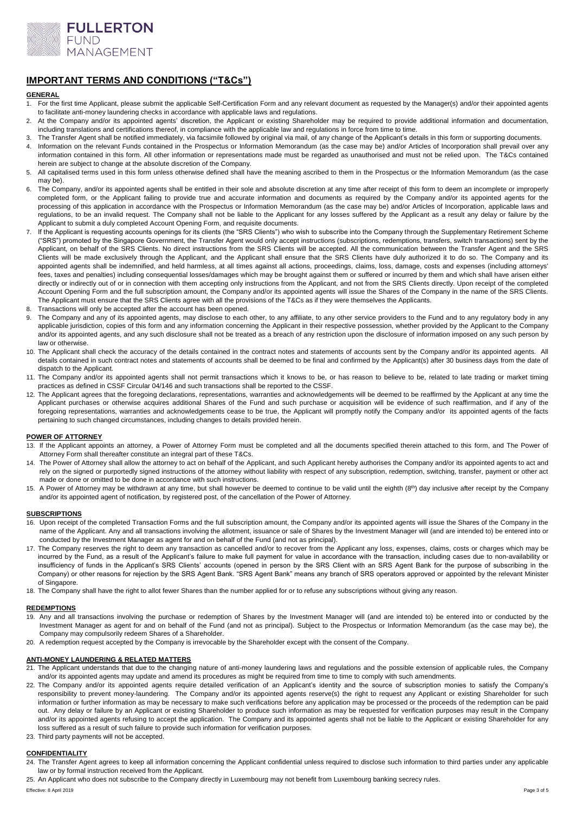

# **IMPORTANT TERMS AND CONDITIONS ("T&Cs")**

# **GENERAL**

- 1. For the first time Applicant, please submit the applicable Self-Certification Form and any relevant document as requested by the Manager(s) and/or their appointed agents to facilitate anti-money laundering checks in accordance with applicable laws and regulations.
- 2. At the Company and/or its appointed agents' discretion, the Applicant or existing Shareholder may be required to provide additional information and documentation, including translations and certifications thereof, in compliance with the applicable law and regulations in force from time to time.
- The Transfer Agent shall be notified immediately, via facsimile followed by original via mail, of any change of the Applicant's details in this form or supporting documents.
- 4. Information on the relevant Funds contained in the Prospectus or Information Memorandum (as the case may be) and/or Articles of Incorporation shall prevail over any information contained in this form. All other information or representations made must be regarded as unauthorised and must not be relied upon. The T&Cs contained herein are subject to change at the absolute discretion of the Company.
- 5. All capitalised terms used in this form unless otherwise defined shall have the meaning ascribed to them in the Prospectus or the Information Memorandum (as the case may be).
- 6. The Company, and/or its appointed agents shall be entitled in their sole and absolute discretion at any time after receipt of this form to deem an incomplete or improperly completed form, or the Applicant failing to provide true and accurate information and documents as required by the Company and/or its appointed agents for the processing of this application in accordance with the Prospectus or Information Memorandum (as the case may be) and/or Articles of Incorporation, applicable laws and regulations, to be an invalid request. The Company shall not be liable to the Applicant for any losses suffered by the Applicant as a result any delay or failure by the Applicant to submit a duly completed Account Opening Form, and requisite documents.
- 7. If the Applicant is requesting accounts openings for its clients (the "SRS Clients") who wish to subscribe into the Company through the Supplementary Retirement Scheme ("SRS") promoted by the Singapore Government, the Transfer Agent would only accept instructions (subscriptions, redemptions, transfers, switch transactions) sent by the Applicant, on behalf of the SRS Clients. No direct instructions from the SRS Clients will be accepted. All the communication between the Transfer Agent and the SRS Clients will be made exclusively through the Applicant, and the Applicant shall ensure that the SRS Clients have duly authorized it to do so. The Company and its appointed agents shall be indemnified, and held harmless, at all times against all actions, proceedings, claims, loss, damage, costs and expenses (including attorneys' fees, taxes and penalties) including consequential losses/damages which may be brought against them or suffered or incurred by them and which shall have arisen either directly or indirectly out of or in connection with them accepting only instructions from the Applicant, and not from the SRS Clients directly. Upon receipt of the completed Account Opening Form and the full subscription amount, the Company and/or its appointed agents will issue the Shares of the Company in the name of the SRS Clients. The Applicant must ensure that the SRS Clients agree with all the provisions of the T&Cs as if they were themselves the Applicants.
- 8. Transactions will only be accepted after the account has been opened.
- 9. The Company and any of its appointed agents, may disclose to each other, to any affiliate, to any other service providers to the Fund and to any regulatory body in any applicable jurisdiction, copies of this form and any information concerning the Applicant in their respective possession, whether provided by the Applicant to the Company and/or its appointed agents, and any such disclosure shall not be treated as a breach of any restriction upon the disclosure of information imposed on any such person by law or otherwise.
- 10. The Applicant shall check the accuracy of the details contained in the contract notes and statements of accounts sent by the Company and/or its appointed agents. All details contained in such contract notes and statements of accounts shall be deemed to be final and confirmed by the Applicant(s) after 30 business days from the date of dispatch to the Applicant.
- 11. The Company and/or its appointed agents shall not permit transactions which it knows to be, or has reason to believe to be, related to late trading or market timing practices as defined in CSSF Circular 04/146 and such transactions shall be reported to the CSSF.
- 12. The Applicant agrees that the foregoing declarations, representations, warranties and acknowledgements will be deemed to be reaffirmed by the Applicant at any time the Applicant purchases or otherwise acquires additional Shares of the Fund and such purchase or acquisition will be evidence of such reaffirmation, and if any of the foregoing representations, warranties and acknowledgements cease to be true, the Applicant will promptly notify the Company and/or its appointed agents of the facts pertaining to such changed circumstances, including changes to details provided herein.

#### **POWER OF ATTORNEY**

- 13. If the Applicant appoints an attorney, a Power of Attorney Form must be completed and all the documents specified therein attached to this form, and The Power of Attorney Form shall thereafter constitute an integral part of these T&Cs.
- 14. The Power of Attorney shall allow the attorney to act on behalf of the Applicant, and such Applicant hereby authorises the Company and/or its appointed agents to act and rely on the signed or purportedly signed instructions of the attorney without liability with respect of any subscription, redemption, switching, transfer, payment or other act made or done or omitted to be done in accordance with such instructions.
- 15. A Power of Attorney may be withdrawn at any time, but shall however be deemed to continue to be valid until the eighth (8<sup>th</sup>) day inclusive after receipt by the Company and/or its appointed agent of notification, by registered post, of the cancellation of the Power of Attorney.

#### **SUBSCRIPTIONS**

- 16. Upon receipt of the completed Transaction Forms and the full subscription amount, the Company and/or its appointed agents will issue the Shares of the Company in the name of the Applicant. Any and all transactions involving the allotment, issuance or sale of Shares by the Investment Manager will (and are intended to) be entered into or conducted by the Investment Manager as agent for and on behalf of the Fund (and not as principal).
- 17. The Company reserves the right to deem any transaction as cancelled and/or to recover from the Applicant any loss, expenses, claims, costs or charges which may be incurred by the Fund, as a result of the Applicant's failure to make full payment for value in accordance with the transaction, including cases due to non-availability or insufficiency of funds in the Applicant's SRS Clients' accounts (opened in person by the SRS Client with an SRS Agent Bank for the purpose of subscribing in the Company) or other reasons for rejection by the SRS Agent Bank. "SRS Agent Bank" means any branch of SRS operators approved or appointed by the relevant Minister of Singapore.

18. The Company shall have the right to allot fewer Shares than the number applied for or to refuse any subscriptions without giving any reason.

#### **REDEMPTIONS**

- 19. Any and all transactions involving the purchase or redemption of Shares by the Investment Manager will (and are intended to) be entered into or conducted by the Investment Manager as agent for and on behalf of the Fund (and not as principal). Subject to the Prospectus or Information Memorandum (as the case may be), the Company may compulsorily redeem Shares of a Shareholder.
- 20. A redemption request accepted by the Company is irrevocable by the Shareholder except with the consent of the Company.

## **ANTI-MONEY LAUNDERING & RELATED MATTERS**

- 21. The Applicant understands that due to the changing nature of anti-money laundering laws and regulations and the possible extension of applicable rules, the Company and/or its appointed agents may update and amend its procedures as might be required from time to time to comply with such amendments.
- 22. The Company and/or its appointed agents require detailed verification of an Applicant's identity and the source of subscription monies to satisfy the Company's responsibility to prevent money-laundering. The Company and/or its appointed agents reserve(s) the right to request any Applicant or existing Shareholder for such information or further information as may be necessary to make such verifications before any application may be processed or the proceeds of the redemption can be paid out. Any delay or failure by an Applicant or existing Shareholder to produce such information as may be requested for verification purposes may result in the Company and/or its appointed agents refusing to accept the application. The Company and its appointed agents shall not be liable to the Applicant or existing Shareholder for any loss suffered as a result of such failure to provide such information for verification purposes.
- 23. Third party payments will not be accepted.

### **CONFIDENTIALITY**

24. The Transfer Agent agrees to keep all information concerning the Applicant confidential unless required to disclose such information to third parties under any applicable law or by formal instruction received from the Applicant.

25. An Applicant who does not subscribe to the Company directly in Luxembourg may not benefit from Luxembourg banking secrecy rules.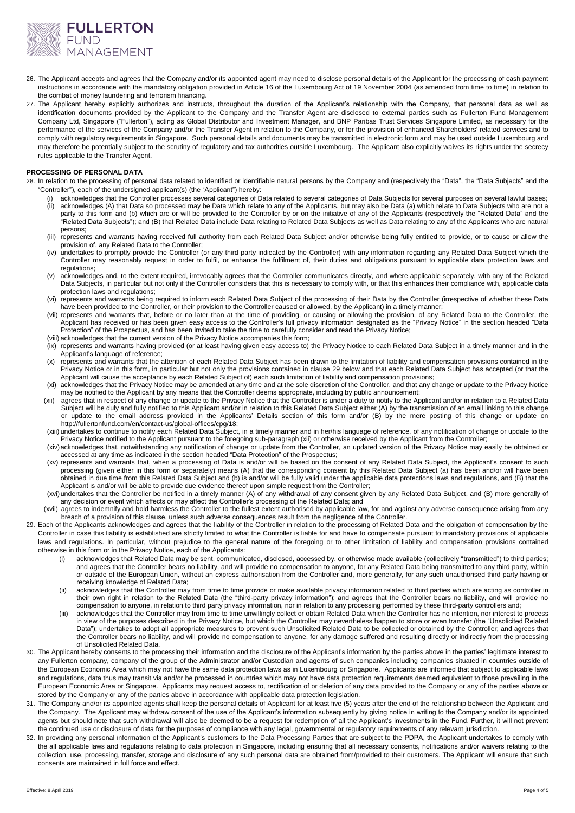

- 26. The Applicant accepts and agrees that the Company and/or its appointed agent may need to disclose personal details of the Applicant for the processing of cash payment instructions in accordance with the mandatory obligation provided in Article 16 of the Luxembourg Act of 19 November 2004 (as amended from time to time) in relation to the combat of money laundering and terrorism financing.
- 27. The Applicant hereby explicitly authorizes and instructs, throughout the duration of the Applicant's relationship with the Company, that personal data as well as identification documents provided by the Applicant to the Company and the Transfer Agent are disclosed to external parties such as Fullerton Fund Management Company Ltd, Singapore ("Fullerton"), acting as Global Distributor and Investment Manager, and BNP Paribas Trust Services Singapore Limited, as necessary for the performance of the services of the Company and/or the Transfer Agent in relation to the Company, or for the provision of enhanced Shareholders' related services and to comply with regulatory requirements in Singapore. Such personal details and documents may be transmitted in electronic form and may be used outside Luxembourg and may therefore be potentially subject to the scrutiny of regulatory and tax authorities outside Luxembourg. The Applicant also explicitly waives its rights under the secrecy rules applicable to the Transfer Agent.

#### **PROCESSING OF PERSONAL DATA**

- 28. In relation to the processing of personal data related to identified or identifiable natural persons by the Company and (respectively the "Data", the "Data Subjects" and the "Controller"), each of the undersigned applicant(s) (the "Applicant") hereby:
	- (i) acknowledges that the Controller processes several categories of Data related to several categories of Data Subjects for several purposes on several lawful bases; (ii) acknowledges (A) that Data so processed may be Data which relate to any of the Applicants, but may also be Data (a) which relate to Data Subjects who are not a party to this form and (b) which are or will be provided to the Controller by or on the initiative of any of the Applicants (respectively the "Related Data" and the "Related Data Subjects"); and (B) that Related Data include Data relating to Related Data Subjects as well as Data relating to any of the Applicants who are natural persons;
	- (iii) represents and warrants having received full authority from each Related Data Subject and/or otherwise being fully entitled to provide, or to cause or allow the provision of, any Related Data to the Controller;
	- (iv) undertakes to promptly provide the Controller (or any third party indicated by the Controller) with any information regarding any Related Data Subject which the Controller may reasonably request in order to fulfil, or enhance the fulfilment of, their duties and obligations pursuant to applicable data protection laws and regulations;
	- (v) acknowledges and, to the extent required, irrevocably agrees that the Controller communicates directly, and where applicable separately, with any of the Related Data Subjects, in particular but not only if the Controller considers that this is necessary to comply with, or that this enhances their compliance with, applicable data protection laws and regulations;
	- (vi) represents and warrants being required to inform each Related Data Subject of the processing of their Data by the Controller (irrespective of whether these Data have been provided to the Controller, or their provision to the Controller caused or allowed, by the Applicant) in a timely manner;
	- (vii) represents and warrants that, before or no later than at the time of providing, or causing or allowing the provision, of any Related Data to the Controller, the Applicant has received or has been given easy access to the Controller's full privacy information designated as the "Privacy Notice" in the section headed "Data Protection" of the Prospectus, and has been invited to take the time to carefully consider and read the Privacy Notice;
	- (viii) acknowledges that the current version of the Privacy Notice accompanies this form; (ix) represents and warrants having provided (or at least having given easy access to) the Privacy Notice to each Related Data Subject in a timely manner and in the Applicant's language of reference;
	- (x) represents and warrants that the attention of each Related Data Subject has been drawn to the limitation of liability and compensation provisions contained in the Privacy Notice or in this form, in particular but not only the provisions contained in clause 29 below and that each Related Data Subject has accepted (or that the Applicant will cause the acceptance by each Related Subject of) each such limitation of liability and compensation provisions;
	- (xi) acknowledges that the Privacy Notice may be amended at any time and at the sole discretion of the Controller, and that any change or update to the Privacy Notice may be notified to the Applicant by any means that the Controller deems appropriate, including by public announcement;
	- (xii) agrees that in respect of any change or update to the Privacy Notice that the Controller is under a duty to notify to the Applicant and/or in relation to a Related Data Subject will be duly and fully notified to this Applicant and/or in relation to this Related Data Subject either (A) by the transmission of an email linking to this change or update to the email address provided in the Applicants' Details section of this form and/or (B) by the mere posting of this change or update on http://fullertonfund.com/en/contact-us/global-offices/cpg/18;
	- (xiii) undertakes to continue to notify each Related Data Subject, in a timely manner and in her/his language of reference, of any notification of change or update to the Privacy Notice notified to the Applicant pursuant to the foregoing sub-paragrap[h \(xii\)](#page-3-0) or otherwise received by the Applicant from the Controller;
	- (xiv)acknowledges that, notwithstanding any notification of change or update from the Controller, an updated version of the Privacy Notice may easily be obtained or accessed at any time as indicated in the section headed "Data Protection" of the Prospectus;
	- (xv) represents and warrants that, when a processing of Data is and/or will be based on the consent of any Related Data Subject, the Applicant's consent to such processing (given either in this form or separately) means (A) that the corresponding consent by this Related Data Subject (a) has been and/or will have been obtained in due time from this Related Data Subject and (b) is and/or will be fully valid under the applicable data protections laws and regulations, and (B) that the Applicant is and/or will be able to provide due evidence thereof upon simple request from the Controller;
	- (xvi)undertakes that the Controller be notified in a timely manner (A) of any withdrawal of any consent given by any Related Data Subject, and (B) more generally of any decision or event which affects or may affect the Controller's processing of the Related Data; and
	- (xvii) agrees to indemnify and hold harmless the Controller to the fullest extent authorised by applicable law, for and against any adverse consequence arising from any breach of a provision of this clause, unless such adverse consequences result from the negligence of the Controller.
- <span id="page-3-0"></span>29. Each of the Applicants acknowledges and agrees that the liability of the Controller in relation to the processing of Related Data and the obligation of compensation by the Controller in case this liability is established are strictly limited to what the Controller is liable for and have to compensate pursuant to mandatory provisions of applicable laws and regulations. In particular, without prejudice to the general nature of the foregoing or to other limitation of liability and compensation provisions contained otherwise in this form or in the Privacy Notice, each of the Applicants:
	- (i) acknowledges that Related Data may be sent, communicated, disclosed, accessed by, or otherwise made available (collectively "transmitted") to third parties; and agrees that the Controller bears no liability, and will provide no compensation to anyone, for any Related Data being transmitted to any third party, within or outside of the European Union, without an express authorisation from the Controller and, more generally, for any such unauthorised third party having or receiving knowledge of Related Data;
	- acknowledges that the Controller may from time to time provide or make available privacy information related to third parties which are acting as controller in their own right in relation to the Related Data (the "third-party privacy information"); and agrees that the Controller bears no liability, and will provide no compensation to anyone, in relation to third party privacy information, nor in relation to any processing performed by these third-party controllers and;
	- (iii) acknowledges that the Controller may from time to time unwillingly collect or obtain Related Data which the Controller has no intention, nor interest to process in view of the purposes described in the Privacy Notice, but which the Controller may nevertheless happen to store or even transfer (the "Unsolicited Related Data"); undertakes to adopt all appropriate measures to prevent such Unsolicited Related Data to be collected or obtained by the Controller; and agrees that the Controller bears no liability, and will provide no compensation to anyone, for any damage suffered and resulting directly or indirectly from the processing of Unsolicited Related Data.
- 30. The Applicant hereby consents to the processing their information and the disclosure of the Applicant's information by the parties above in the parties' legitimate interest to any Fullerton company, company of the group of the Administrator and/or Custodian and agents of such companies including companies situated in countries outside of the European Economic Area which may not have the same data protection laws as in Luxembourg or Singapore. Applicants are informed that subject to applicable laws and regulations, data thus may transit via and/or be processed in countries which may not have data protection requirements deemed equivalent to those prevailing in the European Economic Area or Singapore. Applicants may request access to, rectification of or deletion of any data provided to the Company or any of the parties above or stored by the Company or any of the parties above in accordance with applicable data protection legislation.
- 31. The Company and/or its appointed agents shall keep the personal details of Applicant for at least five (5) years after the end of the relationship between the Applicant and the Company. The Applicant may withdraw consent of the use of the Applicant's information subsequently by giving notice in writing to the Company and/or its appointed agents but should note that such withdrawal will also be deemed to be a request for redemption of all the Applicant's investments in the Fund. Further, it will not prevent the continued use or disclosure of data for the purposes of compliance with any legal, governmental or regulatory requirements of any relevant jurisdiction.
- 32. In providing any personal information of the Applicant's customers to the Data Processing Parties that are subject to the PDPA, the Applicant undertakes to comply with the all applicable laws and regulations relating to data protection in Singapore, including ensuring that all necessary consents, notifications and/or waivers relating to the collection, use, processing, transfer, storage and disclosure of any such personal data are obtained from/provided to their customers. The Applicant will ensure that such consents are maintained in full force and effect.